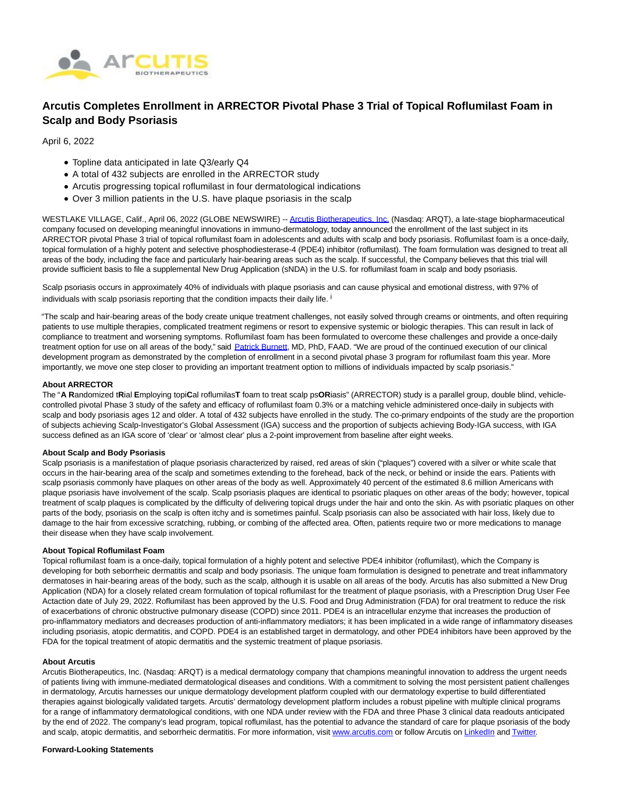

# **Arcutis Completes Enrollment in ARRECTOR Pivotal Phase 3 Trial of Topical Roflumilast Foam in Scalp and Body Psoriasis**

April 6, 2022

- Topline data anticipated in late Q3/early Q4
- A total of 432 subjects are enrolled in the ARRECTOR study
- Arcutis progressing topical roflumilast in four dermatological indications
- Over 3 million patients in the U.S. have plaque psoriasis in the scalp

WESTLAKE VILLAGE, Calif., April 06, 2022 (GLOBE NEWSWIRE) -- [Arcutis Biotherapeutics, Inc. \(](https://www.globenewswire.com/Tracker?data=rgcM8xcoxeZIZt4vyv7xy1wW5L7Ebyj_OSGcjKZqQdY01dEQcOEukceSuDKNuxyOixuEzghMhEGkl5_4mLzk1mUlWM-zJufNWnXydXEcl2U=)Nasdaq: ARQT), a late-stage biopharmaceutical company focused on developing meaningful innovations in immuno-dermatology, today announced the enrollment of the last subject in its ARRECTOR pivotal Phase 3 trial of topical roflumilast foam in adolescents and adults with scalp and body psoriasis. Roflumilast foam is a once-daily, topical formulation of a highly potent and selective phosphodiesterase-4 (PDE4) inhibitor (roflumilast). The foam formulation was designed to treat all areas of the body, including the face and particularly hair-bearing areas such as the scalp. If successful, the Company believes that this trial will provide sufficient basis to file a supplemental New Drug Application (sNDA) in the U.S. for roflumilast foam in scalp and body psoriasis.

Scalp psoriasis occurs in approximately 40% of individuals with plaque psoriasis and can cause physical and emotional distress, with 97% of individuals with scalp psoriasis reporting that the condition impacts their daily life. <sup>i</sup>

"The scalp and hair-bearing areas of the body create unique treatment challenges, not easily solved through creams or ointments, and often requiring patients to use multiple therapies, complicated treatment regimens or resort to expensive systemic or biologic therapies. This can result in lack of compliance to treatment and worsening symptoms. Roflumilast foam has been formulated to overcome these challenges and provide a once-daily treatment option for use on all areas of the body," said [Patrick Burnett,](https://www.globenewswire.com/Tracker?data=BI6gK98ytubkA4nYIaM78RmSu9whq-Z3wY-3dlzTDBjxFNtV7cHxrnxtm4FpkTzYkBFPew3A7wK78wFSPXoES1l3FSiDZ8GI3XPJXaTk3YbtSCpy7Y999ioTzqrjDAAW) MD, PhD, FAAD. "We are proud of the continued execution of our clinical development program as demonstrated by the completion of enrollment in a second pivotal phase 3 program for roflumilast foam this year. More importantly, we move one step closer to providing an important treatment option to millions of individuals impacted by scalp psoriasis."

## **About ARRECTOR**

The "**A R**andomized t**R**ial **E**mploying topi**C**al roflumilas**T** foam to treat scalp ps**OR**iasis" (ARRECTOR) study is a parallel group, double blind, vehiclecontrolled pivotal Phase 3 study of the safety and efficacy of roflumilast foam 0.3% or a matching vehicle administered once-daily in subjects with scalp and body psoriasis ages 12 and older. A total of 432 subjects have enrolled in the study. The co-primary endpoints of the study are the proportion of subjects achieving Scalp-Investigator's Global Assessment (IGA) success and the proportion of subjects achieving Body-IGA success, with IGA success defined as an IGA score of 'clear' or 'almost clear' plus a 2-point improvement from baseline after eight weeks.

#### **About Scalp and Body Psoriasis**

Scalp psoriasis is a manifestation of plaque psoriasis characterized by raised, red areas of skin ("plaques") covered with a silver or white scale that occurs in the hair-bearing area of the scalp and sometimes extending to the forehead, back of the neck, or behind or inside the ears. Patients with scalp psoriasis commonly have plaques on other areas of the body as well. Approximately 40 percent of the estimated 8.6 million Americans with plaque psoriasis have involvement of the scalp. Scalp psoriasis plaques are identical to psoriatic plaques on other areas of the body; however, topical treatment of scalp plaques is complicated by the difficulty of delivering topical drugs under the hair and onto the skin. As with psoriatic plaques on other parts of the body, psoriasis on the scalp is often itchy and is sometimes painful. Scalp psoriasis can also be associated with hair loss, likely due to damage to the hair from excessive scratching, rubbing, or combing of the affected area. Often, patients require two or more medications to manage their disease when they have scalp involvement.

#### **About Topical Roflumilast Foam**

Topical roflumilast foam is a once-daily, topical formulation of a highly potent and selective PDE4 inhibitor (roflumilast), which the Company is developing for both seborrheic dermatitis and scalp and body psoriasis. The unique foam formulation is designed to penetrate and treat inflammatory dermatoses in hair-bearing areas of the body, such as the scalp, although it is usable on all areas of the body. Arcutis has also submitted a New Drug Application (NDA) for a closely related cream formulation of topical roflumilast for the treatment of plaque psoriasis, with a Prescription Drug User Fee Actaction date of July 29, 2022. Roflumilast has been approved by the U.S. Food and Drug Administration (FDA) for oral treatment to reduce the risk of exacerbations of chronic obstructive pulmonary disease (COPD) since 2011. PDE4 is an intracellular enzyme that increases the production of pro-inflammatory mediators and decreases production of anti-inflammatory mediators; it has been implicated in a wide range of inflammatory diseases including psoriasis, atopic dermatitis, and COPD. PDE4 is an established target in dermatology, and other PDE4 inhibitors have been approved by the FDA for the topical treatment of atopic dermatitis and the systemic treatment of plaque psoriasis.

#### **About Arcutis**

Arcutis Biotherapeutics, Inc. (Nasdaq: ARQT) is a medical dermatology company that champions meaningful innovation to address the urgent needs of patients living with immune-mediated dermatological diseases and conditions. With a commitment to solving the most persistent patient challenges in dermatology, Arcutis harnesses our unique dermatology development platform coupled with our dermatology expertise to build differentiated therapies against biologically validated targets. Arcutis' dermatology development platform includes a robust pipeline with multiple clinical programs for a range of inflammatory dermatological conditions, with one NDA under review with the FDA and three Phase 3 clinical data readouts anticipated by the end of 2022. The company's lead program, topical roflumilast, has the potential to advance the standard of care for plaque psoriasis of the body and scalp, atopic dermatitis, and seborrheic dermatitis. For more information, visit [www.arcutis.com o](https://www.globenewswire.com/Tracker?data=xHFftM2C3AODsXiyad2kqFCUbBwE9YrKk1P0rXnd5RIbFAy6rS0z6cTOoshFYeN3ezGWPOU3JD4oAVljL64OsQ==)r follow Arcutis on [LinkedIn a](https://www.globenewswire.com/Tracker?data=cHY3XxYYOUDkWkH_h80SHq5O73CF6jfWQRpjj9dRfn3weFLVUzEFdrz9cp33jZsgmwG_e2Qt5R_ITZ5Ahbyh7nAK_qCP7QGZg5368QPHd-LH7ZfEmY7t62PWdijXFivI)n[d Twitter.](https://www.globenewswire.com/Tracker?data=dRRyijFspuF2b_phxwnIWaXpi6WAmdODzmvbWqWlzrvv4vrcZuvpxONwoQuH23777Tyvvu4tGrnYs9Npb33RGQ==)

#### **Forward-Looking Statements**